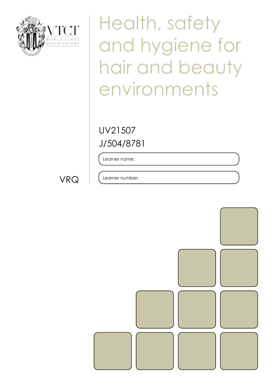

Health, safety and hygiene for hair and beauty environments

J/504/8781 UV21507

Learner name:

VRQ

Learner number:

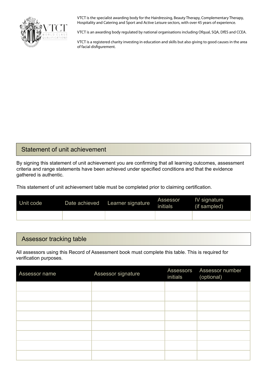

VTCT is the specialist awarding body for the Hairdressing, Beauty Therapy, Complementary Therapy, Hospitality and Catering and Sport and Active Leisure sectors, with over 45 years of experience.

VTCT is an awarding body regulated by national organisations including Ofqual, SQA, DfES and CCEA.

VTCT is a registered charity investing in education and skills but also giving to good causes in the area of facial disfigurement.

#### Statement of unit achievement

By signing this statement of unit achievement you are confirming that all learning outcomes, assessment criteria and range statements have been achieved under specified conditions and that the evidence gathered is authentic.

This statement of unit achievement table must be completed prior to claiming certification.

| Unit code | Date achieved | Learner signature | Assessor<br>initials | IV signature<br>(if sampled) |
|-----------|---------------|-------------------|----------------------|------------------------------|
|           |               |                   |                      |                              |

#### Assessor tracking table

All assessors using this Record of Assessment book must complete this table. This is required for verification purposes.

| Assessor name | Assessor signature | initials | Assessors Assessor number<br>(optional) |
|---------------|--------------------|----------|-----------------------------------------|
|               |                    |          |                                         |
|               |                    |          |                                         |
|               |                    |          |                                         |
|               |                    |          |                                         |
|               |                    |          |                                         |
|               |                    |          |                                         |
|               |                    |          |                                         |
|               |                    |          |                                         |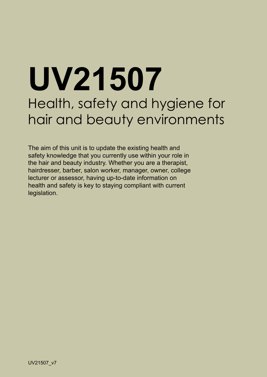# **UV21507** Health, safety and hygiene for hair and beauty environments

The aim of this unit is to update the existing health and safety knowledge that you currently use within your role in the hair and beauty industry. Whether you are a therapist, hairdresser, barber, salon worker, manager, owner, college lecturer or assessor, having up-to-date information on health and safety is key to staying compliant with current legislation.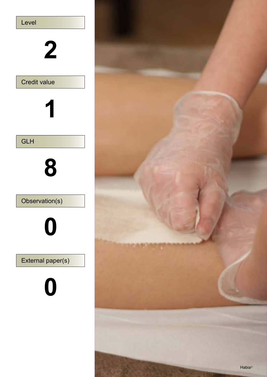

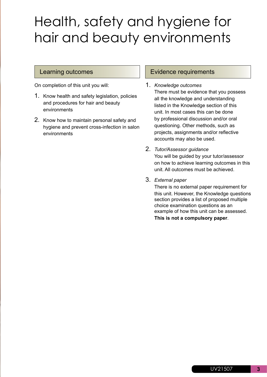# Health, safety and hygiene for hair and beauty environments

On completion of this unit you will:

- 1. Know health and safety legislation, policies and procedures for hair and beauty environments
- 2. Know how to maintain personal safety and hygiene and prevent cross-infection in salon environments

#### Learning outcomes **Evidence requirements**

- 1. *Knowledge outcomes*  There must be evidence that you possess all the knowledge and understanding listed in the Knowledge section of this unit. In most cases this can be done by professional discussion and/or oral questioning. Other methods, such as projects, assignments and/or reflective accounts may also be used.
- 2. *Tutor/Assessor guidance*  You will be guided by your tutor/assessor on how to achieve learning outcomes in this unit. All outcomes must be achieved.
- 3. *External paper*

There is no external paper requirement for this unit. However, the Knowledge questions section provides a list of proposed multiple choice examination questions as an example of how this unit can be assessed. **This is not a compulsory paper**.

**3**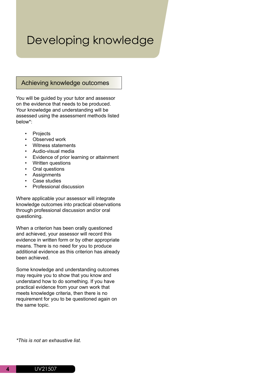# Developing knowledge

#### Achieving knowledge outcomes

You will be guided by your tutor and assessor on the evidence that needs to be produced. Your knowledge and understanding will be assessed using the assessment methods listed below\*:

- Projects
- Observed work
- Witness statements
- Audio-visual media
- Evidence of prior learning or attainment
- Written questions
- Oral questions
- Assignments
- Case studies
- Professional discussion

Where applicable your assessor will integrate knowledge outcomes into practical observations through professional discussion and/or oral questioning.

When a criterion has been orally questioned and achieved, your assessor will record this evidence in written form or by other appropriate means. There is no need for you to produce additional evidence as this criterion has already been achieved.

Some knowledge and understanding outcomes may require you to show that you know and understand how to do something. If you have practical evidence from your own work that meets knowledge criteria, then there is no requirement for you to be questioned again on the same topic.

*\*This is not an exhaustive list.*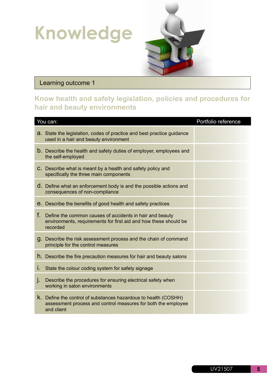# **Knowledge**



## Learning outcome 1

## **Know health and safety legislation, policies and procedures for hair and beauty environments**

| You can: |                                                                                                                                                | Portfolio reference |
|----------|------------------------------------------------------------------------------------------------------------------------------------------------|---------------------|
|          | a. State the legislation, codes of practice and best practice guidance<br>used in a hair and beauty environment                                |                     |
|          | <b>b.</b> Describe the health and safety duties of employer, employees and<br>the self-employed                                                |                     |
|          | C. Describe what is meant by a health and safety policy and<br>specifically the three main components                                          |                     |
|          | d. Define what an enforcement body is and the possible actions and<br>consequences of non-compliance                                           |                     |
|          | <b>e.</b> Describe the benefits of good health and safety practices                                                                            |                     |
| f.       | Define the common causes of accidents in hair and beauty<br>environments, requirements for first aid and how these should be<br>recorded       |                     |
|          | g. Describe the risk assessment process and the chain of command<br>principle for the control measures                                         |                     |
|          | h. Describe the fire precaution measures for hair and beauty salons                                                                            |                     |
| Ι.       | State the colour coding system for safety signage                                                                                              |                     |
| I.       | Describe the procedures for ensuring electrical safety when<br>working in salon environments                                                   |                     |
|          | K. Define the control of substances hazardous to health (COSHH)<br>assessment process and control measures for both the employee<br>and client |                     |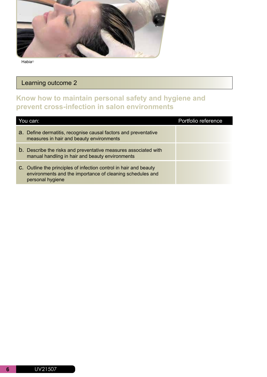

## Learning outcome 2

### **Know how to maintain personal safety and hygiene and prevent cross-infection in salon environments**

| You can:                                                                                                                                           | Portfolio reference |
|----------------------------------------------------------------------------------------------------------------------------------------------------|---------------------|
| a. Define dermatitis, recognise causal factors and preventative<br>measures in hair and beauty environments                                        |                     |
| <b>b.</b> Describe the risks and preventative measures associated with<br>manual handling in hair and beauty environments                          |                     |
| C. Outline the principles of infection control in hair and beauty<br>environments and the importance of cleaning schedules and<br>personal hygiene |                     |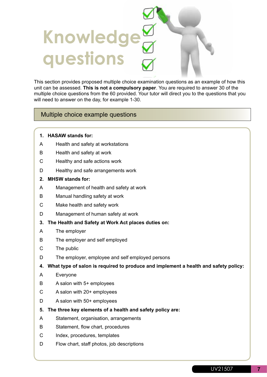# **Knowledge questions**

This section provides proposed multiple choice examination questions as an example of how this unit can be assessed. **This is not a compulsory paper**. You are required to answer 30 of the multiple choice questions from the 60 provided. Your tutor will direct you to the questions that you will need to answer on the day, for example 1-30.

#### Multiple choice example questions

- **1. HASAW stands for:**
- A Health and safety at workstations
- B Health and safety at work
- C Healthy and safe actions work
- D Healthy and safe arrangements work
- **2. MHSW stands for:**
- A Management of health and safety at work
- B Manual handling safety at work
- C Make health and safety work
- D Management of human safety at work
- **3. The Health and Safety at Work Act places duties on:**
- A The employer
- B The employer and self employed
- C The public
- D The employer, employee and self employed persons
- **4. What type of salon is required to produce and implement a health and safety policy:**
- A Everyone
- B A salon with 5+ employees
- C A salon with 20+ employees
- D A salon with 50+ employees
- **5. The three key elements of a health and safety policy are:**
- A Statement, organisation, arrangements
- B Statement, flow chart, procedures
- C Index, procedures, templates
- D Flow chart, staff photos, job descriptions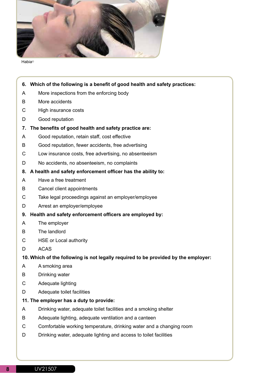

- **6. Which of the following is a benefit of good health and safety practices:** A More inspections from the enforcing body B More accidents C High insurance costs D Good reputation **7. The benefits of good health and safety practice are:** A Good reputation, retain staff, cost effective B Good reputation, fewer accidents, free advertising C Low insurance costs, free advertising, no absenteeism D No accidents, no absenteeism, no complaints **8. A health and safety enforcement officer has the ability to:** A Have a free treatment B Cancel client appointments C Take legal proceedings against an employer/employee D Arrest an employer/employee
	- **9. Health and safety enforcement officers are employed by:**
	- A The employer
	- B The landlord
	- C HSE or Local authority
	- D ACAS

#### **10. Which of the following is not legally required to be provided by the employer:**

- A A smoking area
- B Drinking water
- C Adequate lighting
- D Adequate toilet facilities

#### **11. The employer has a duty to provide:**

- A Drinking water, adequate toilet facilities and a smoking shelter
- B Adequate lighting, adequate ventilation and a canteen
- C Comfortable working temperature, drinking water and a changing room
- D Drinking water, adequate lighting and access to toilet facilities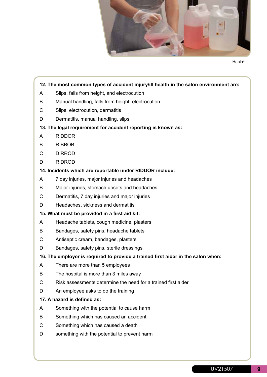

#### **12. The most common types of accident injury/ill health in the salon environment are:**

- A Slips, falls from height, and electrocution
- B Manual handling, falls from height, electrocution
- C Slips, electrocution, dermatitis
- D Dermatitis, manual handling, slips

#### **13. The legal requirement for accident reporting is known as:**

- A RIDDOR
- B RIBBOB
- C DIRROD
- D RIDROD

#### **14. Incidents which are reportable under RIDDOR include:**

- A 7 day injuries, major injuries and headaches
- B Major injuries, stomach upsets and headaches
- C Dermatitis, 7 day injuries and major injuries
- D Headaches, sickness and dermatitis

#### **15. What must be provided in a first aid kit:**

- A Headache tablets, cough medicine, plasters
- B Bandages, safety pins, headache tablets
- C Antiseptic cream, bandages, plasters
- D Bandages, safety pins, sterile dressings

#### **16. The employer is required to provide a trained first aider in the salon when:**

- A There are more than 5 employees
- B The hospital is more than 3 miles away
- C Risk assessments determine the need for a trained first aider
- D An employee asks to do the training

#### **17. A hazard is defined as:**

- A Something with the potential to cause harm
- B Something which has caused an accident
- C Something which has caused a death
- D something with the potential to prevent harm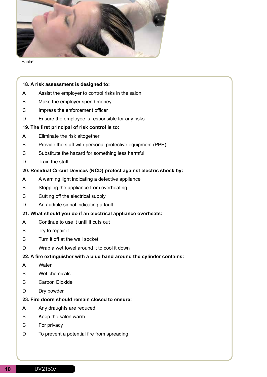

#### **18. A risk assessment is designed to:**

- A Assist the employer to control risks in the salon
- B Make the employer spend money
- C Impress the enforcement officer
- D Ensure the employee is responsible for any risks

#### **19. The first principal of risk control is to:**

- A Eliminate the risk altogether
- B Provide the staff with personal protective equipment (PPE)
- C Substitute the hazard for something less harmful
- D Train the staff

#### **20. Residual Circuit Devices (RCD) protect against electric shock by:**

- A A warning light indicating a defective appliance
- B Stopping the appliance from overheating
- C Cutting off the electrical supply
- D An audible signal indicating a fault
- **21. What should you do if an electrical appliance overheats:**
- A Continue to use it until it cuts out
- B Try to repair it
- C Turn it off at the wall socket
- D Wrap a wet towel around it to cool it down

#### **22. A fire extinguisher with a blue band around the cylinder contains:**

- A Water
- B Wet chemicals
- C Carbon Dioxide
- D Dry powder

#### **23. Fire doors should remain closed to ensure:**

- A Any draughts are reduced
- B Keep the salon warm
- C For privacy
- D To prevent a potential fire from spreading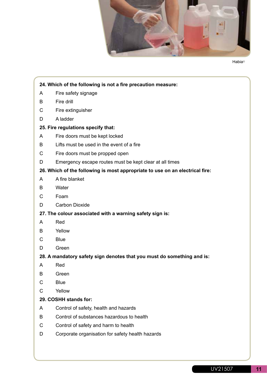

#### **24. Which of the following is not a fire precaution measure:**

- A Fire safety signage
- B Fire drill
- C Fire extinguisher
- D A ladder

#### **25. Fire regulations specify that:**

- A Fire doors must be kept locked
- B Lifts must be used in the event of a fire
- C Fire doors must be propped open
- D Emergency escape routes must be kept clear at all times

#### **26. Which of the following is most appropriate to use on an electrical fire:**

- A A fire blanket
- B Water
- C Foam
- D Carbon Dioxide

#### **27. The colour associated with a warning safety sign is:**

- A Red
- B Yellow
- C Blue
- D Green

#### **28. A mandatory safety sign denotes that you must do something and is:**

- A Red
- B Green
- C Blue
- C Yellow

#### **29. COSHH stands for:**

- A Control of safety, health and hazards
- B Control of substances hazardous to health
- C Control of safety and harm to health
- D Corporate organisation for safety health hazards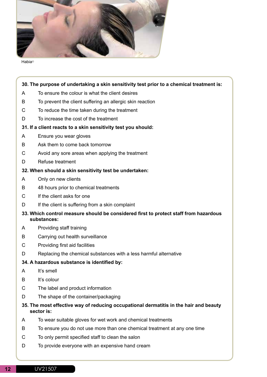

#### **30. The purpose of undertaking a skin sensitivity test prior to a chemical treatment is:**

- A To ensure the colour is what the client desires
- B To prevent the client suffering an allergic skin reaction
- C To reduce the time taken during the treatment
- D To increase the cost of the treatment

#### **31. If a client reacts to a skin sensitivity test you should:**

- A Ensure you wear gloves
- B Ask them to come back tomorrow
- C Avoid any sore areas when applying the treatment
- D Refuse treatment

#### **32. When should a skin sensitivity test be undertaken:**

- A Only on new clients
- B 48 hours prior to chemical treatments
- C If the client asks for one
- D If the client is suffering from a skin complaint

#### **33. Which control measure should be considered first to protect staff from hazardous substances:**

- A Providing staff training
- B Carrying out health surveillance
- C Providing first aid facilities
- D Replacing the chemical substances with a less harmful alternative

#### **34. A hazardous substance is identified by:**

- A It's smell
- B It's colour
- C The label and product information
- D The shape of the container/packaging

#### **35. The most effective way of reducing occupational dermatitis in the hair and beauty sector is:**

- A To wear suitable gloves for wet work and chemical treatments
- B To ensure you do not use more than one chemical treatment at any one time
- C To only permit specified staff to clean the salon
- D To provide everyone with an expensive hand cream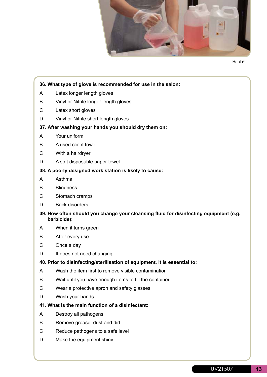

#### **36. What type of glove is recommended for use in the salon:**

- A Latex longer length gloves
- B Vinyl or Nitrile longer length gloves
- C Latex short gloves
- D Vinyl or Nitrile short length gloves

#### **37. After washing your hands you should dry them on:**

- A Your uniform
- B A used client towel
- C With a hairdryer
- D A soft disposable paper towel

#### **38. A poorly designed work station is likely to cause:**

- A Asthma
- B Blindness
- C Stomach cramps
- D Back disorders

#### **39. How often should you change your cleansing fluid for disinfecting equipment (e.g. barbicide):**

- A When it turns green
- B After every use
- C Once a day
- D It does not need changing

#### **40. Prior to disinfecting/sterilisation of equipment, it is essential to:**

- A Wash the item first to remove visible contamination
- B Wait until you have enough items to fill the container
- C Wear a protective apron and safety glasses
- D Wash your hands

#### **41. What is the main function of a disinfectant:**

- A Destroy all pathogens
- B Remove grease, dust and dirt
- C Reduce pathogens to a safe level
- D Make the equipment shiny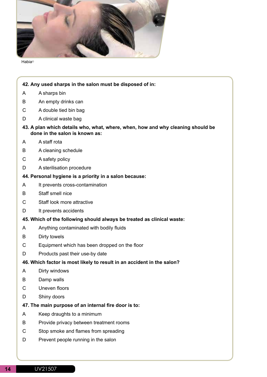

#### **42. Any used sharps in the salon must be disposed of in:**

- A A sharps bin
- B An empty drinks can
- C A double tied bin bag
- D A clinical waste bag
- **43. A plan which details who, what, where, when, how and why cleaning should be done in the salon is known as:**
- A A staff rota
- B A cleaning schedule
- C A safety policy
- D A sterilisation procedure

#### **44. Personal hygiene is a priority in a salon because:**

- A It prevents cross-contamination
- B Staff smell nice
- C Staff look more attractive
- D It prevents accidents

#### **45. Which of the following should always be treated as clinical waste:**

- A Anything contaminated with bodily fluids
- B Dirty towels
- C Equipment which has been dropped on the floor
- D Products past their use-by date

#### **46. Which factor is most likely to result in an accident in the salon?**

- A Dirty windows
- B Damp walls
- C Uneven floors
- D Shiny doors

#### **47. The main purpose of an internal fire door is to:**

- A Keep draughts to a minimum
- B Provide privacy between treatment rooms
- C Stop smoke and flames from spreading
- D Prevent people running in the salon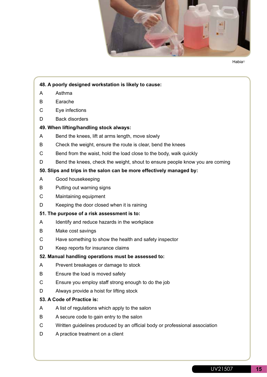

#### **48. A poorly designed workstation is likely to cause:**

- A Asthma
- B Earache
- C Eye infections
- D Back disorders

#### **49. When lifting/handling stock always:**

- A Bend the knees, lift at arms length, move slowly
- B Check the weight, ensure the route is clear, bend the knees
- C Bend from the waist, hold the load close to the body, walk quickly
- D Bend the knees, check the weight, shout to ensure people know you are coming

#### **50. Slips and trips in the salon can be more effectively managed by:**

- A Good housekeeping
- B Putting out warning signs
- C Maintaining equipment
- D Keeping the door closed when it is raining

#### **51. The purpose of a risk assessment is to:**

- A Identify and reduce hazards in the workplace
- B Make cost savings
- C Have something to show the health and safety inspector
- D Keep reports for insurance claims

#### **52. Manual handling operations must be assessed to:**

- A Prevent breakages or damage to stock
- B Ensure the load is moved safely
- C Ensure you employ staff strong enough to do the job
- D Always provide a hoist for lifting stock

#### **53. A Code of Practice is:**

- A A list of regulations which apply to the salon
- B A secure code to gain entry to the salon
- C Written guidelines produced by an official body or professional association
- D A practice treatment on a client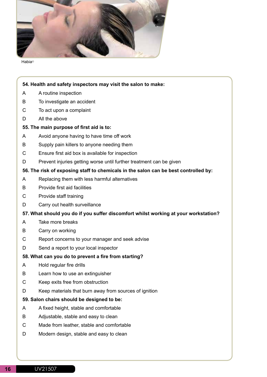

#### **54. Health and safety inspectors may visit the salon to make:**

- A A routine inspection
- B To investigate an accident
- C To act upon a complaint
- D All the above

#### **55. The main purpose of first aid is to:**

- A Avoid anyone having to have time off work
- B Supply pain killers to anyone needing them
- C Ensure first aid box is available for inspection
- D Prevent injuries getting worse until further treatment can be given

#### **56. The risk of exposing staff to chemicals in the salon can be best controlled by:**

- A Replacing them with less harmful alternatives
- B Provide first aid facilities
- C Provide staff training
- D Carry out health surveillance

#### **57. What should you do if you suffer discomfort whilst working at your workstation?**

- A Take more breaks
- B Carry on working
- C Report concerns to your manager and seek advise
- D Send a report to your local inspector

#### **58. What can you do to prevent a fire from starting?**

- A Hold regular fire drills
- B Learn how to use an extinguisher
- C Keep exits free from obstruction
- D Keep materials that burn away from sources of ignition

#### **59. Salon chairs should be designed to be:**

- A A fixed height, stable and comfortable
- B Adjustable, stable and easy to clean
- C Made from leather, stable and comfortable
- D Modern design, stable and easy to clean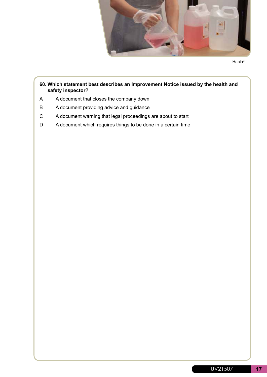

#### **60. Which statement best describes an Improvement Notice issued by the health and safety inspector?**

- A A document that closes the company down
- B A document providing advice and guidance
- C A document warning that legal proceedings are about to start
- D A document which requires things to be done in a certain time